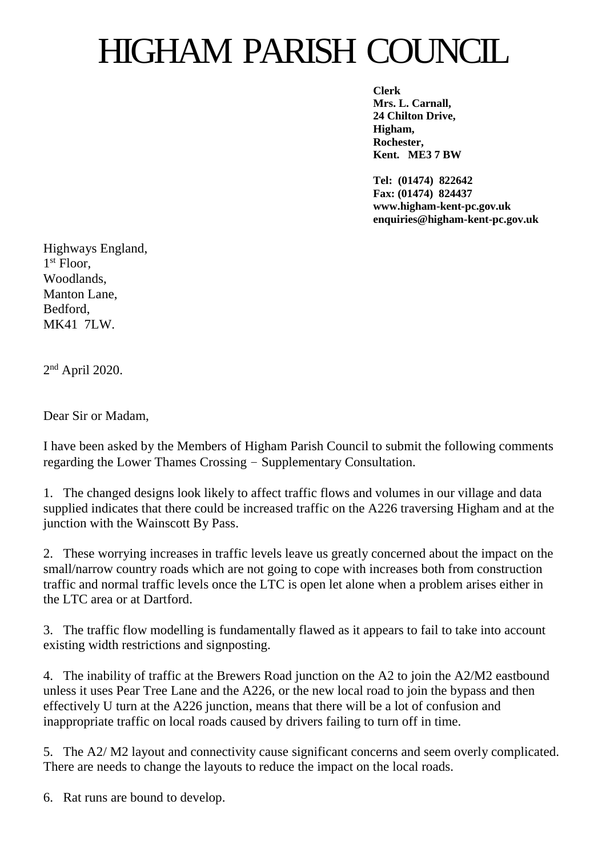## HIGHAM PARISH COUNCIL

**Clerk Mrs. L. Carnall, 24 Chilton Drive, Higham, Rochester, Kent. ME3 7 BW**

**Tel: (01474) 822642 Fax: (01474) 824437 www.higham-kent-pc.gov.uk enquiries@higham-kent-pc.gov.uk**

Highways England, 1 st Floor, Woodlands, Manton Lane, Bedford, MK41 7LW.

2<sup>nd</sup> April 2020.

Dear Sir or Madam,

I have been asked by the Members of Higham Parish Council to submit the following comments regarding the Lower Thames Crossing – Supplementary Consultation.

1. The changed designs look likely to affect traffic flows and volumes in our village and data supplied indicates that there could be increased traffic on the A226 traversing Higham and at the junction with the Wainscott By Pass.

2. These worrying increases in traffic levels leave us greatly concerned about the impact on the small/narrow country roads which are not going to cope with increases both from construction traffic and normal traffic levels once the LTC is open let alone when a problem arises either in the LTC area or at Dartford.

3. The traffic flow modelling is fundamentally flawed as it appears to fail to take into account existing width restrictions and signposting.

4. The inability of traffic at the Brewers Road junction on the A2 to join the A2/M2 eastbound unless it uses Pear Tree Lane and the A226, or the new local road to join the bypass and then effectively U turn at the A226 junction, means that there will be a lot of confusion and inappropriate traffic on local roads caused by drivers failing to turn off in time.

5. The A2/ M2 layout and connectivity cause significant concerns and seem overly complicated. There are needs to change the layouts to reduce the impact on the local roads.

6. Rat runs are bound to develop.